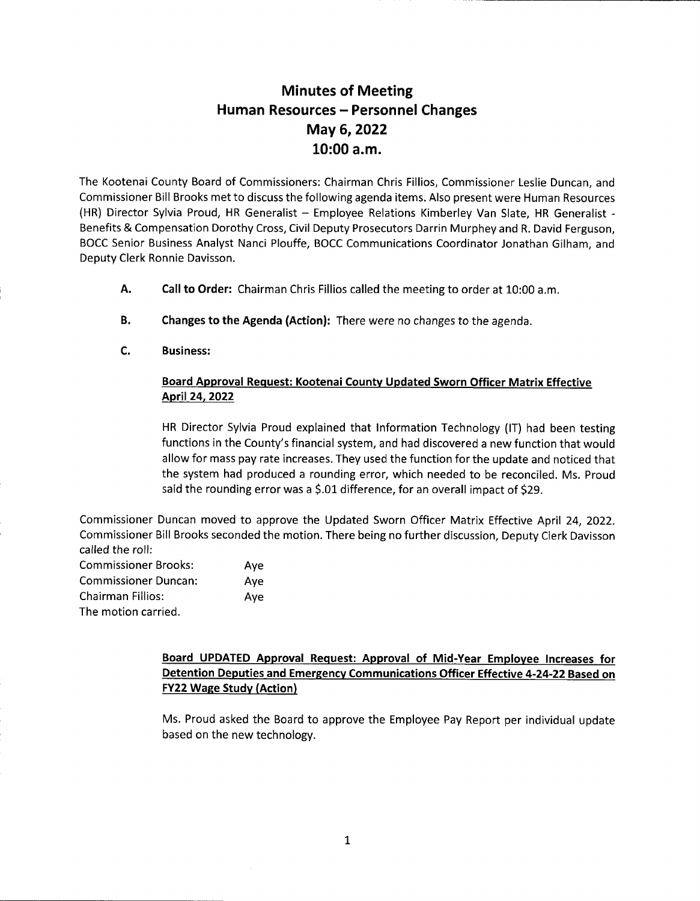## Minutes of Meeting Human Resources - Personnel Changes May 6, 2022 10:00 a.m.

The Kootenai County Board of Commissioners: Chairman Chris Fillios, Commissioner Leslie Duncan, and Commissioner Bill Brooks met to discuss the following agenda items. Also present were Human Resources (HR) Director Sylvia Proud, HR Generalist - Employee Relations Kimberley Van Slate, HR Generalist -Benefits & Compensation Dorothy Cross, Civil Deputy Prosecutors Darrin Murphey and R. David Ferguson, BOCC Senior Business Analyst Nanci Plouffe, BOCC Communications Coordinator Jonathan Gilham, and Deputy Clerk Ronnie Davisson.

- Call to Order: Chairman Chris Fillios called the meeting to order at 10:00 a.m. A.
- Changes to the Agenda (Action): There were no changes to the agenda. B.
- Business: c.

## Board Approval Request: Kootenai Countv Updated Sworn Officer Matrix Effective April24,2022

HR Director Sylvia Proud explained that lnformation Technology (lT) had been testing functions in the County's financial system, and had discovered a new function that would allow for mass pay rate increases. They used the function for the update and noticed that the system had produced a rounding error, which needed to be reconciled. Ms. Proud said the rounding error was a \$.01 difference, for an overall impact of \$29.

Commissioner Duncan moved to approve the Updated Sworn Officer Matrix Effective April 24, 2022. Commissioner Bill Brooks seconded the motion. There being no further discussion, Deputy Clerk Davisson called the roll: Commissioner Brooks: Aye Commissioner Duncan: Aye

| CUITHIISSIULEI DUILGH.   | Aye |
|--------------------------|-----|
| <b>Chairman Fillios:</b> | Ave |
| The motion carried.      |     |

## Board UPDATED Approval Request: Approval of Mid-Year Employee Increases for Detention Deputies and Emergency Communications Officer Effective 4-24-22 Based on **FY22 Wage Study (Action)**

Ms. Proud asked the Board to approve the Employee Pay Report per individual update based on the new technology.